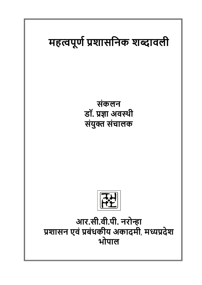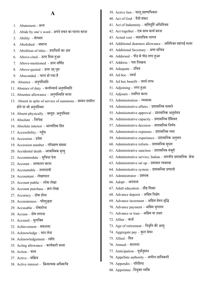# **A**

- 1. Abatement अन्त
- 2. Abide by one's word अपने वचन का पालन करना
- 3. Ability योग्यता
- 4. Abolished समाप्त
- 5. Abolition of titles उपाधियों का अंत
- 6. Above-cited ऊपर धियाहुआ
- 7. Above-mentioned ऊपर वधणित
- 8. Above-quoted ऊपर उद धृत
- 9. Absconded फरार हो गया है
- 10. Absence अनपुधथिधत
- 11. Absence of duty कर्त्तव्यार्थ अनुपस्थिति
- 12. Absentee allowance अनपुधथिधत भर्तता
- 13. Absent in spite of service of summons सम्मन तामील होने पर भी अनुपस्थित
- 14. Absent physically वथतुत: अनपुधथित
- 15. Absolute धनरपेक्ष
- 16. Absolute interest आर्तयंधतक धहत
- 17. Accessibility पहुच
- 18. Accession प्रवेश
- 19. Accession number पररग्रहण संख्या
- 20. Accidental death आकस्मिक मृत्यु
- 21. Accommodate सुविधा देना
- 22. Account आकलन करना
- 23. Accountable उत्तरदायी
- 24. Accountant लेखापाल
- 25. Account public लोक लेखा
- 26. Account purchase क्रय लेखा
- 27. Accuracy ठीक होना
- 28. Accurateness परिशुद्धता
- 29. Accusable दोषारोप्य
- $30$  Accuse दोष लगाना
- 31. Accused मुलजिम
- 32. Achievement सफलता
- 33. Acknowledge मान लेना
- 34. Acknowledgement रसीि
- 35. Acting allowance कार्यकारी भत्ता
- 36. Action काम
- 37. Active सधक्रय
- 38. Active interest क्रियात्मक अभिरूचि
- 39. Active lien चालू ग्रहणाधिकार
- $40.$  Act of God दैवी संकट
- 41. Act of Indemnity क्षतिपूर्ति अधिनियम
- 42. Act together एक साि कायि करना
- $43.$  Actual cost वास्तविक लागत
- 44. Additional dearness allowance अतिरिक्त महंगाई भत्ता
- 45. Additional Secretary अपर सधचव
- 46. Addorsed पीठ सेपीठ लगा हुआ
- $47.$  Address पता लिखना
- 48. Adequate उधचत
- $49.$  Ad hoc तदर्थ
- $50.$  Ad hoc benefit तदर्थ लाभ
- 51. Adjoining लगाहुआ
- $52.$  Adjourn स्थगित करना
- 53. Administration व्यवस्था
- 54. Administrative affairs प्रशासधनक मामले
- 55. Administrative approval प्रशासनिक अनुमोदन
- 56. Administrative capacity प्रशासधनक हैधसयत
- 57. Administrative decision प्रशासनिक निर्णय
- 58. Administrative expenses प्रशासनिक व्यय
- 59. Administrative experience प्रशासनिक अनुभव
- 60. Administrative reform प्रशासनिक सुधार
- 61. Administrative sanction प्रशासनिक मंजूरी
- 62. Administrative service, Indian भारतीय प्रशासधनक सेवा
- 63. Administrative set up प्रशासन व्यवस्था
- 64. Administrative system प्रशासधनक प्रणाली
- 65. Administrator प्रबंिक
- $66.$   $Adopt 3$ गपनाना
- $67.$  Adult education प्रौढ शिक्षा
- 68. Advance deposit अधग्रम धनक्षेप
- 69. Advance increment अधग्रम वेतन-वधृद्ध
- 70. Advance payment अधग्रम भगुतान
- 71. Advance or loan अधग्रम या उिार
- 72. Affair कायि
- 73. Age of retirement धनवधृि की आयु
- 74. Aggregate pay कुल वेतन
- $75.$  Allied मित्र
- 76. Annual सालाना
- 77. Anticipation पूर्वानुमान
- 78. Appellate authority अपील-प्राधिकारी
- $79.$  Appendix परिशिष्ट
- 80. Appointee –नियुक्त व्यक्ति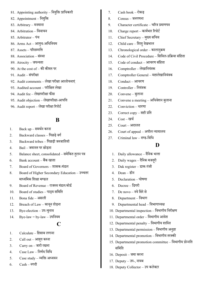- 81. Appointing authority नियुक्ति प्राधिकारी
- 82. Appointment नियुक्ति
- 83. Arbitrary मनमाना
- 84. Arbitration धववाचन
- 85. Arbitrator पंच
- 86. Arms Act आयुध-अधिनियम
- $87.$  Assets परिसम्पत्ति
- 88. Association संथिा
- 89. Atrocity जघन्यता
- 90. At the cost of की कीमत पर
- 91. Audit संपरीक्षा
- 92. Audit comments लेखापरीक्षा आलोचनाएं
- 93. Audited account परीधक्षत लेखा
- 94. Audit fee लेखापरीक्षा फीस
- 95. Audit objection लेखापरीक्षा-आपधि
- 96. Audit report लेखा परीक्षा ररपोटि

### **B**

- 1. Back up समििन करना
- 2. Backward classes धपछडे वगि
- 3. Backward tribes पिछड़ी जनजातियॉ
- 4. Bail िमानत पर छोडना
- 5. Balance sheet, consolidated समेकित तुलन पत्र
- 6. Bank account बैंक खाता
- 7. Board of Governors शासक-मंडल
- 8. Board of Higher Secondary Education उच्चतर माध्यमिक शिक्षा मण्डल
- 9. Board of Revenue राजस्व मंडल/बोर्ड
- 10. Board of studies पाठ्य सधमधत
- 11. Bona fide असली
- 12. Breach of Law काननू तोडना
- 13. Bye-election उप-चनुाव
- $14.$  Bye-law = by-law उपनियम

### **C**

- 1. Calculate धहसाब लगाना
- 2. Call out आहूत करना
- $3.$  Carry on जारी रखना
- 4. Case Law धनणिय धवधि
- 5.  $\qquad$  Case study व्यक्ति अध्ययन
- $6.$   $Cash \pi \eta \hat{d}$
- 7. Cash book रोकड
- $8.$  Census जनगणना
- 9. Character certificate चररत्र प्रमाणपत्र
- 10. Charge report कार्यभार रिपोर्ट
- 11. Chief Secretary मुख्य सचिव
- 12. Child care धशशुिखे भाल
- 13. Chronological order कालानुक्रम
- 14. Code of Civil Procedure धसधवल-प्रधक्रया सधंहता
- 15. Code of conduct आचरण सधंहता
- 16. Comptroller लेखानियंत्रक
- 17. Comptroller General महालेखानियंत्रक
- 18. Conduct आचरण
- 19. Controller धनयंत्रक
- 20. Convene बलुाना
- 21. Convene a meeting अधिवेशन बलुाना
- 22. Conviction धारणा
- 23. Correct copy सही प्रधत
- 24. Cost खचि
- $25.$  Court अदालत
- $26.$  Court of appeal अपील न्यायालय
- $27.$  Criminal law दण्ड-विधि

### **D**

- $1.$  Daily allowance दैनिक भत्ता
- 2. Daily wages दैनिक मजद्री
- 3. Dak register डाक-पंिी
- $4\qquad$  Dean डीन
- 5. Declaration घोषणा
- 6. Decree डिगरी
- $7.$  De novo नये सिरे से
- 8. Department धवभाग
- 9. Departmental head विभागाध्यक्ष
- 10. Departmental inspection विभागीय निरीक्षण
- 11. Departmental order विभागीय आदेश
- 12. Departmental penalty विभागीय शास्ति
- 13. Departmental permission धवभागीय अनज्ञुा
- 14. Departmental promotion विभागीय तरक्की
- 15. Departmental promotion committee विभागीय प्रोन्नति समिति
- 16. Deposit िमा करना
- 17. Deputy उप-, नायब
- 18. Deputy Collector उप कलेक्टर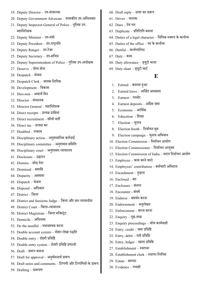- 19. Deputy Director उप-संचालक
- 20. Deputy Government Advocate शासकीय उप-अधिवक्ता
- 21. Deputy Inspector-General of Police पुलिस उप-महाधनरीक्षक
- 22. Deputy Minister उप-मत्रं ी
- 23. Deputy President उप-राष्ट्रपति
- 24. Deputy Ranger उप-रेंजर
- 25. Deputy Secretary उप-सधचव
- 26. Deputy Superintendent of Police पुलिस उप-अधीक्षक
- 27. Deserve योग्य होना
- 28. Despatch भेिना
- 29. Despatch Clerk जावक लिपिक
- 30. Development धवकास
- 31. Dies-non अकायि धिन
- 32. Director संचालक
- 33. Director General महाधनिेशक
- 34. Direct receipts प्रत्यक्ष प्राप्तियां
- 35. Direct recruitment सीिी भती
- $36.$  Direct tax प्रत्यक्ष कर
- 37. Disabled नाकाम
- 38. Disciplinary action अनशुासधनक कारिवाई
- 39. Disciplinary committee अनशुासन सधमधत
- 40. Disciplinary court अनशुासन न्यायालय
- 41. Disclosure उद्घाटन
- $42.$   $Dismiss -$ छोड देना
- 43. Dismissal समाधि
- 44. Disparity असमता
- 45. Dispatch भेिना
- 46. Disposal अधिकार
- 47. District धिला
- 48. District and Sessions Judge जिला और सत्र न्यायाधीश
- 49. District Court जिला-न्यायालय
- 50. District Magistrate जिला मजिस्ट्रेट
- 51. Domicile अधिवास
- $52.$  Do the needful यथावश्यक करना
- 53. Double account system दोहरा लेखा पद्धति
- 54. Double entry दोहरी प्रविष्टि
- 55. Double entry system दोहरी प्रविष्टि प्रणाली
- 56. Draft प्रारूप बनाना
- 57. Draft for approval अनुमोदनार्थ प्रारूप
- 58. Draft notes and comments टिप्पणी और टिप्पणियों के प्रारूप
- 59. Drafting प्रारूपण
- $60.$  Draft reply उत्तर का प्रारूप
- 61. Driver चालक
- $62$  Dues देय धन
- $63.$  Duplicate प्रतिलिपि बनाना
- $64.$  Duties of a legal character विधिक स्वरूप के कर्त्तव्य
- $65.$  Duties of the office पद के कर्त्तव्य
- $66.$  Dutiful कर्त्तव्यनिष्ठ
- 67. Duty काम
- 68. Duty allowance ड्यटूी भर्तता
- 69. Duty chart ड्यटूी चाटि

## **E**

- 1. Earned कमायाहुआ
- 2. Earned leave अधिित अवकाश
- 3. Earnest गम् भीर
- 4. Earnest deposits अधग्रम िमा
- 5. Economic आधििक
- 6. Education धशक्षा
- 7. Election चनुाव
- 8. Election booth निर्वाचन बूथ
- 9. Election campaign चनुाव अधभयान
- 10. Election Commission धनवािचन आयोग
- 11. Election Commissioner निर्वाचन आयुक्त
- 12. Election Commission of India भारत धनवािचन आयोग
- 13. Employee काम करने वाले
- 14. Employees' contribution कमिचारी अधभिाय
- 15. Encashment तुडाना
- $16.$  Enclosed बंद
- 17. Enclosure संलग्न
- 18. Encounter संघषि
- 19. Endorse समििन करना
- 20. Endorsement अनलुेखन
- 21. Enforcement बाध् य करना
- 22. Enquiry पछू-ताछ
- 23. Enquiry proceedings िॉच कायिवाही
- $24.$  Entry,  $\mathrm{credit} \overline{\mathrm{sqrt}}$  प्रविष्टि
- 25. Entry, debit नामे प्रधवधि
- 26. Entry, ledger खाता प्रधवधि
- $27.$  Establishment स्थापना
- 28. Establishment clerk स्थापन लिपिक
- $29.$  Estate सम्पदा
- 30. Evidence गवाही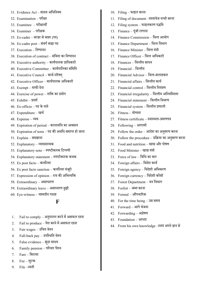- 31. Evidence Act साक्ष् य अधिधनयम
- 32. Examination परीक्षा
- 33. Examinee परीक्षािी
- 34. Examiner परीक्षक
- 35. Ex-cadre काडर से बाहर (पद)
- 36. Ex-cadre post संवगिबाहा पि
- 37. Execution निष्पादन
- 38. Execution of contract संविदा का निष्पादन
- 39. Executive authority कायिपालक प्राधिकारी
- 40. Executive Committee कायिपाधलका सधमधत
- 41. Executive Council कायि-पररषि्
- 42. Executive Officer कायिपालक अधिकारी
- $43.$  Exempt माफी देना
- 44. Exercise of power शधि का प्रयोग
- $45.$  Exhibit प्रदर्श
- $46.$  Ex-officio पद के नाते
- 47. Expenditure खचि
- 48. Expense व्यय
- 49. Expiration of period कालावधि का अवसान
- $50.$  Expiration of term पद की अवधि समाप्त हो जाना
- 51. Explain समझाना
- 52. Explanatory व्याख्यात्मक
- 53. Explanatory note स्पष्टीकारक टिप्पणी
- 54. Explanatory statement स्पष्टीकारक कथक
- 55. Ex post facto कायोर्त तर
- 56. Ex post facto sanction कार्योत्तर मंजूरी
- 57. Expression of opinion राय की अभिव्यक्ति
- 58. Extraordinary असाधारण
- 59. Extraordinary leave असाधारण छुट्टी
- $60.$  Eye-witness चश्मदीद गवाह

# **F**

- $1.$  Fail to comply अनुपालन करने में असफल रहना
- 2. Fail to produce पेश करने में असफल रहना
- 3. Fair wages उधचत वेतन
- 4. Fall-back pay उपधथिधत वेतन
- 5. False evidence झठूा साक्ष्य
- 6. Family pension पररवार पेंशन
- $7.$  Fare किराया
- $8.$  Fee शुल्क
- 9. File –नस्ती
- 10. Filing फाइल करना
- 11. Filing of document –दस्तावेज नत्थी करना
- 12. Filing system फाइलकरण पद्धति
- 13. Finance पूंजी लगाना
- 14. Finance Commission धवर्त त आयोग
- 15. Finance Department वित्त विभाग
- 16. Finance Minister धवर्त त मंत्री
- 17. Finance Officer धवर्त त अधिकारी
- $18.$  Finances वित्तीय साधन
- 19. Financial धवर्त तीय
- 20. Financial Advisor धवर्त त-सलाहकार
- 21. Financial affairs वित्तीय कार्य
- 22. Financial control बित्तीय नियंत्रण
- 23. Financial irregularity वित्तीय अनियमितता
- 24. Financial statement वित्तीय विवरण
- 25. Financial system वित्तीय प्रणाली
- $26.$  Fitness योग्यता
- 27. Fitness certificate स्वास्थता-प्रमाणपत्र
- 28. Following आगामी
- 29. Follow the order आदेश का अनुसरण करना
- 30. Follow the procedure प्रधक्रया का अनसुरण करना
- 31. Food and nutrition खाद्य और पोषण
- 32. Food Minister खाद्य मंत्री
- 33. Force of law धवधि का बल
- 34. Foreign affairs विदेश कार्य
- 35. Foreign agency धविेशी अधभकरण
- 36. Foreign currency धविेशी करेंसी
- 37. Forest Department वन धवभाग
- $38.$  Forfeit जब्त करना
- 39. Formal औपचाररक
- 40. For the time being उस समय
- 41. Forward आगे भेिना
- 42. Forwarding अग्रेषण
- 43. Foundation आधार
- 44. From his own knowledge –स्वयं अपने ज्ञान से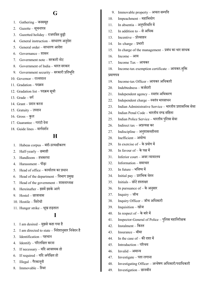# **G**

- 1. Gathering जनसमृह
- $2.$  Gazette सूचनापत्र
- 3. Gazetted holiday राजपत्रित छुट्टी
- 4. General instruction साधारण अनुदेश
- 5. General order साधारण आदेश
- 6. Governance शासन
- 7. Government note सरकारी नोट
- 8. Government of India भारत सरकार
- 9. Government security सरकारी प्रतिभूति
- 10. Governor राज्यपाल
- 11. Gradation पदक्रम
- 12. Gradation list पदक्रम सूची
- 13. Grade वगि
- 14. Grant प्रिान करना
- 15. Gratuity उपदान
- 16. Gross कुल
- 17. Guarantee गारंटी देना
- 18. Guide lines मार्गदर्शन

## **H**

- 1. Habeas corpus बंदी-प्रत्यक्षीकरण
- 2. Half-yearly छमाही
- 3. Handloom हिकरघा
- 4. Harassment पीडा
- 5. Head of office कायािलय का प्रिान
- 6. Head of the department धवभाग प्रमखु
- 7. Head of the government शासनाध्यक्ष
- 8. Hereinafter इसमें इसके आगे
- 9. Hostel छात्रावास
- 10. Hostile विरोधी
- 11. Hunger strike भखू हडताल

## **I**

- 1. I am desired मुझसे कहा गया है
- 2. I am directed to state निदेशानुसार निवेदन है
- 3. Identification पहचान
- 4. Identify पररलधक्षत करना
- 5. If necessary यदि आवश्यक हो
- $6.$  If required यदि अपेक्षित हो
- 7. Illegal गैरकाननूी
- 8. Immovable धथिर
- 9. Immovable property अचल सम्पत्ति
- 10. Impeachment महाधभयोग
- 11. In absentia अनपुधथिधत में
- 12. In addition to से अधिक
- $13.$  Incentive प्रोत्साहन
- 14. In–charge प्रभारी
- 15. In charge of the management प्रबंध का भार साधक
- 16. Income आय
- 17. Income Tax आयकर
- 18. Income-tax exemption certificate आयकर-मुक्ति

#### प्रमाणपत्र

- 19. Income-tax Officer आयकर अधिकारी
- 20. Indebtedness कर्जदारी
- 21. Independent agency स्वतंत्र अभिकरण
- 22. Independent charge स्वतंत्र भारसाधन
- 23. Indian Administrative Service भारतीय प्रशासधनक सेवा
- 24. Indian Penal Code भारतीय दण्ड संहिता
- 25. Indian Police Service भारतीय पधुलस सेवा
- 26. Indirect tax अप्रत्यक्ष कर
- 27. Indiscipline अनशुासनहीनता
- 28. Inefficient अयोग्य
- 29. In exercise of के प्रयोग में
- 30. In favour of के पक्ष में
- 31. Inferior court अवर न्यायालय
- 32. Information समाचार
- 33. In future भधवष् य में
- 34. Initial pay प्रारंधभक वतेन
- $35.$  Initials छोटे हस्ताक्षर
- 36. In pursuance of के अनुसार
- $37.$  Inquiry जॉर्च
- 38. Inquiry Officer जॉच अधिकारी
- 39. Inquisition खोि
- 40. In respect of के बारे में
- 41. Inspector-General of Police पुलिस महानिरीक्षक
- 42. Instalment किस्त
- 43. Insurance बीमा
- $44.$  In the case of की दशा में
- 45. Introduction पररचय
- $46.$  Invalid अमान्य
- 47. Investigate पता लगाना
- $48.$  Investigating Officer अन्वेषण अधिकारी/पदाधिकारी
- 49. Investigation छानबीन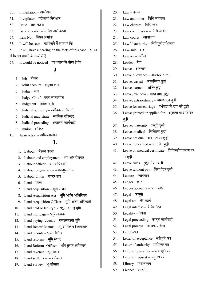- 50. Invigilation अधीक्षण
- 51. Invigilator परीक्षार्थी निरीक्षक
- $52.$  Issue जारी करना
- $53.$  Issue an order आदेश जारी करना
- $54.$  Item No. विषय-क्रमांक
- $55.$  It will be seen यह देखने में आता है कि
- 56. It will have a bearing on the facts of this case इसका संबंध इस मामले के तथ्यों से है
- $57.$  It would be noticed यह ध्यान देने योग्य है कि

# **J**

- 1. Job नौकरी
- 2. Joint account संयुक्त लेखा
- $3.$  Judge जज
- 4. Judge, Chief मुख्य न्यायाधीश
- 5. Judgment विवेक बुद्धि
- 6. Judicial authority न्यायिक प्राधिकारी
- 7. Judicial magistrate न्यायिक मजिस्ट्रेट
- $8.$  Judicial preceding अदालती कार्यवाही
- 9. Junior कनिष्ठ
- 10. Jurisdiction अधिकार-क्षेत्र

## **L**

- 1. Labour मेहनत करना
- 2. Labour and employment श्रम और रोजगार
- 3. Labour officer श्रम अधिकारी
- 4. Labour organization मजदूर-संगठन
- 5. Labour union मजदूर-संघ
- $6.$  Land स्थल
- 7. Land acquisition भूमि अर्जन
- 8. Land Acquisition Act भूमि अर्जन अधिनियम
- 9. Land Acquisition Officer भूमि अर्जन अधिकारी
- $10.$  Land held or let घृत या पट्टेपर दी गई भूमि
- 11. Land mortgage भूमि-बन्धक
- 12. Land paying revenue राजस्त्वदायी भूमि
- 13. Land Record Manual भू-अभिलेख नियमावली
- 14. Land records भू-अभिलेख
- 15. Land reforms भूमि सुधार
- 16. Land Reforms Officer भूमि सुधार अधिकारी
- 17. Land revenue भू-राजस्व
- 18. Land settlement बंदोबस्त
- 19. Land-survey भ-ूपररमाप
- $20.$  Law कानून
- 21. Law and order विधि व्यवस्था
- 22. Law charges विधि व्यय
- 23. Law commission धवधि आयोग
- 24. Law courts न्यायालय
- 25. Lawful authority विधिपूर्ण प्राधिकारी
- $26.$  Law-suit वाद
- 27. Lawyer वकील
- 28. Leader नेता
- 29. Leave अवकाश
- $30.$  Leave allowance अवकाश भत्ता
- 31. Leave, casual आकधथमक छुट्टी
- 32. Leave, earned अधिति छुट्टी
- 33. Leave, ex-India भारत बाह्य छुट्टी
- 34. Leave, extraordinary असाधारण छुट्टी
- 35. Leave for miscarriage गर्भपात की दशा की छुट्टी
- 36. Leave granted or applied for अनिुर्तत या आवेधित छुट्टी
- 37. Leave, maternity प्रसूति छुट्टी
- 38. Leave, medical चिकित्सा छुट्टी
- 39. Leave not due अर्जन शोध्य छुट्टी
- 40. Leave not earned अनाधिित छुट्टी
- 41. Leave on medical certificate चिकित्सीय प्रमाण पत्र पर छुट्टी
- 42. Leave rules छुट्टी धनयमावली
- 43. Leave without pay धबना वतेन छुट्टी
- 44. Lecture व्याख्यान
- 45. Ledger खाता
- 46. Ledger accounts खाता लेखे
- 47. Legal काननूी
- $48.$  Legal act वैध कार्य
- 49. Legal interest धवधिक धहत
- $50.$  Legality वैधता
- 51. Legal proceeding काननूी कायिवाही
- 52. Legal process धवधिक प्रधक्रया
- 53. Letter –पत्र
- 54. Letter of acceptance स्वीकृति पत्र
- 55. Letter of authority प्राधिकार पत्र
- 56. Letter of guarantee प्रत्याभूति पत्र
- 57. Letter of request अनुरोध पत्र
- 58. Library पुस्तकालय
- 59. Licence लाइसेंस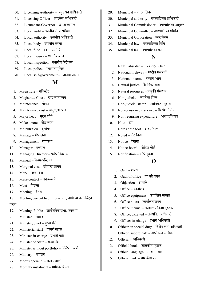- 60. Licensing Authority अनज्ञुापन प्राधिकारी
- 61. Licensing Officer लाइसेंस-अधिकारी
- $62$  Lieutenant-Governor उप-राज्यपाल
- $63.$  Local audit स्थानीय लेखा परीक्षा
- $64.$  Local authority स्थानीय अधिकारी
- $65.$  Local body स्थानीय संस्था
- $66.$  Local fund स्थानीय-निधि
- 67. Local inquiry स्थानीय जांच
- $68.$  Local inspection स्थानीय निरीक्षण
- 69. Local police स्थानीय पुलिस
- $70.$  Local self-government स्थानीय शासन

#### **M**

- 1. Magistrate मजिस्ट्रेट
- 2. Magistrate Court दण्ड न्यायालय
- 3. Maintenance पोषण
- 4. Maintenance cost अनरुक्षण खचि
- 5. Major head मुख्य शीर्ष
- 6. Make a note –नोट करना
- 7. Malnutrition कुपोषण
- 8. Manage संभालना
- 9. Management व्यवस्था
- 10. Manager प्रबंधक
- 11. Managing Director प्रबंध निदेशक
- 12. Manual नियम-पुस्तिका
- 13. Marginal cost सीमान्त लागत
- $14$  Mark नम्बर देना
- 15. Mass-contact जन-सम्पर्क
- $16.$  Meet मिलना
- 17. Meeting बैठक
- 18. Meeting current liabilities चालू दायित्वों का निर्वहन करना
- 19. Meeting, Public सार्वजनिक सभा, जनसभा
- 20. Minister सेवा करना
- 21. Minister, chief मुख्य मंत्री
- 22. Ministerial staff दफ्तरी स्टाफ
- 23. Minister-in-charge प्रभारी मत्रं ी
- 24. Minister of State राज्य मंत्री
- 25. Minister without portfolio निर्विभाग मंत्री
- $26.$  Ministry मंत्रालय
- 27. Modus operandi कायिप्रणाली
- 28. Monthly instalment मासिक किस्त
- 29. Municipal नगरपाधलका
- 30. Municipal authority नगरपाधलका प्राधिकारी
- 31. Municipal Commissioner नगरपालिका आयुक्त
- 32. Municipal Committee नगरपाधलका सधमधत
- 33. Municipal Corporation नगर धनगम
- 34. Municipal law नगरपाधलका धवधि
- 35. Municipal tax नगरपाधलका कर

### **N**

- 1. Naib Tahsildar नायब तहसीलदार
- 2. National highway राष्टीय राजमार्ग
- 3. National income राष्ट्रीय आय
- 4. Natural justice नैसर्गिक न्याय
- 5. Natural resources प्राकृति संसाधन
- $6.$  Non-judicial न्यायिक-भिन्न
- 7. Non-judicial stamp न्यायिकेतर मुद्रांक
- 8. Non-pensionable service गैर पेंशनी सेवा
- 9. Non-recurring expenditure अनावर्ती व्यय
- 10. Note टीप
- 11. Note at the foot वाद-टिप्पण
- 12. Noted नोट धकया
- 13. Notice देखना
- 14. Notice-board नोधटस-बोडि
- 15. Notification अधिसचूना

## **O**

- $1.$  Oath शपथ
- $2.$  Oath of office पद की शपथ
- 3. Objection आपधि
- 4. Office कायािलय
- 5. Office equipment कायािलय सामग्री
- 6. Office hours कायािलय समय
- 7. Office manual कायािलय धनयम पथुतक
- 8. Office, gazetted राजपत्रित अधिकारी
- 9. Officer-in-charge प्रभारी अधिकारी
- 10. Officer on special duty धवशेष कायि अधिकारी
- 11. Officer, subordinate अधीनस्थ अधिकारी
- 12. Official अधिकारी
- 13. Official book शासकीय पुस्तक
- 14. Official language सरकारी भाषा
- 15. Official rank शासकीय पद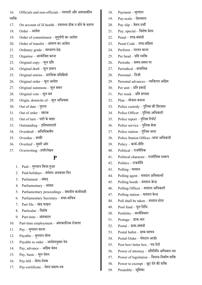|         | 16. Officials and non-officials – पदधारी और अशासकीय |
|---------|-----------------------------------------------------|
| व्यक्ति |                                                     |

 $17.$  On account of ill health – स्वास्थ्य ठीक न होने के कारण

 $18.$  Order – आदेश

- 19. Order of commitment सुपुर्दगी का आदेश
- $20.$  Order of transfer अंतरण का आदेश
- 21. Ordinary grade सािारण ग्रेड
- 22. Organise आयोधित करना
- 23. Original copy मलू प्रधत
- 24. Original draft मलू प्रारूप
- 25. Original entries प्रारंधभक प्रधवधियॉ
- $26.$  Original order मूल आदेश
- 27. Original summons मलू समन
- 28. Original vote मलू मत
- 29. Origin, domicile of मलू अधिवास
- 30. Out of date परुाना
- 31. Out of order खराब
- 32. Out of turn पारी के बाहर
- 33. Outstanding प्रधतभाशाली
- 34. Overdraft अधिधवकषिण
- 35. Overdue बाकी
- 36. Overleaf दूसरी ओर
- 37. Overwriting –उपररलेखन

## **P**

- 1. Paid भुगतान किया हुआ
- 2. Paid holidays सवेतन अवकाश धिन
- 3. Parliament संसद
- 4. Parliamentary सांसि
- 5. Parliamentary proceedings संसदीय कार्यवाही
- 6. Parliamentary Secretary सभा-सधचव
- 7. Part file खंड फाइल
- 8. Particular धवशेष
- 9. Part-time अंशकाल
- 10. Part-time employment अंशकालिक रोजगार
- 11. Pay भुगतान करना
- 12. Payable भुगतान योग्य
- 13. Payable to order आदेशानुसार देय
- 14. Pay, advance अधग्रम वेतन
- 15. Pay, basic मलू वेतन
- 16. Pay-bill वेतन-िेयक
- 17. Pay-certificate वेतन प्रमाण-पत्र
- 18. Payment भगुतान
- 19. Pay-scale वेतनमान
- 20. Pay slip वेतन-पची
- 21. Pay, special धवशेष वेतन
- $22.$  Penal दण्ड-संबंधी
- $23.$  Penal Code दण्ड-संहिता
- 24. Perform पालन करना
- $25.$  Per head प्रति व्यक्ति
- 26. Periodic समय-समय पर
- 27. Periodical सामधयक
- 28. Personal निजी
- 29. Personal advances व्यक्तिगत अग्रिम
- $30.$  Per unit प्रति इकाई
- $31.$  Per week प्रति सप्ताह
- $32.$  Plan योजना बनाना
- 33. Police custody पुलिस की हिरासत
- 34. Police Officer पुलिस-अधिकारी
- 35. Police report पुलिस रिपोर्ट
- 36. Police service पुलिस सेवा
- 37. Police station पलिस थाना
- 38. Police Station Officer -िाना अधिकारी
- $39.$  Policy कार्य-नीति
- $40.$  Political राजनैतिक
- 41. Political character राजनैतिक स्वरूप
- 42. Politics राजनीति
- 43. Polling मतदान
- 44. Polling agent मतदान अभिकर्त्ता
- 45. Polling booth मतदान-केन्द्र
- 46. Polling Officer मतदान अधिकारी
- 47. Polling station मतदान केन्द्र
- 48. Poll shall be taken मतदान होना
- 49. Pool fund पलू धनधि
- 50. Portfolio कायिधवभाग
- 51. Postage डाक-भार
- 52. Postal डाक-संबंिी
- 53. Postal ballot डाक मतपत्र
- 54. Postal Order पोस्टल आर्डर
- 55. Post box=letter box पत्र-पेटी
- $56.$  Power of attorney प्रतिनिधि अधिकार-पत्र
- $57.$  Power of legislation विधान-निर्माण शक्ति
- 58. Power to exempt छूट देने की शक्ति
- 59. Preamble भधूमका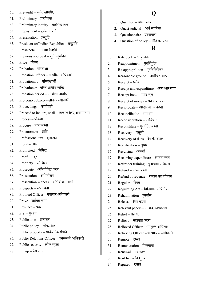- 60. Pre-audit पवूि-लेखापरीक्षा
- $61.$  Preliminary प्रारम्भिक
- $62.$  Preliminary inquiry प्रारंभिक जांच
- 63. Prepayment पूर्व-अदायगी
- 64. Presentation प्रस्तुति
- 65. President (of Indian Republic) राष्ट्रपति
- $66.$  Press-note समाचार विज्ञप्ति
- 67. Previous approval पूर्व अनुमोदन
- 68. Price कीमत
- 69. Probation पररवीक्षा
- 70. Probation Officer पररवीक्षा अधिकारी
- 71. Probationary पररवीक्षािी
- $72.$  Probationer परिवीक्षाधीन व्यक्ति
- 73. Probation period पररवीक्षा अवधि
- $74.$  Pro bono publico लोक कल्याणार्थ
- 75. Proceedings कायिवाही
- $76.$  Proceed to inquire, shall जांच के लिए अग्रसर होगा
- 77. Process प्रधक्रया
- $78.$  Procure प्राप्त करना
- 79. Procurement प्राधि
- 80. Professional tax वृत्ति-कर
- $81.$  Profit लाभ
- 82. Prohibited निषिद्ध
- 83. Proof सबतू
- 84. Propriety औचित्य
- 85. Prosecute अधभयोधित करना
- 86. Prosecution अधभयोिन
- 87. Prosecution witness अधभयोिन साक्षी
- 88. Prospects संभाव्यता
- 89. Protocol Officer नयाचार अधिकारी
- 90. Prove साधबत करना
- 91. Province प्रिेश
- 92. P.S. –पनुश्च
- 93. Publication प्रकाशन
- 94. Public policy लोक-नीधत
- 95. Public property सावििधनक संपधि
- 96. Public Relations Officer जनसम्पर्क अधिकारी
- 97. Public security लोक सरुक्षा
- 98. Put up पेश करना

### **Q**

- 1. Oualified अर्हता-प्राप्त
- 2. Ouasi-judicial अर्ध-न्यायिक
- 3. Questionnaire प्रश्नावली
- 4. Question of policy नीति का प्रश्न

## **R**

- 1. Rate book रेट पुस्तक
- 2. Reappointment पुनर्नियुक्ति
- 3. Re-appropriation पुनर्विनियोजन
- 4. Reasonable ground यथोचित आधार
- 5. Receipt रसीि
- $6.$  Receipt and expenditure आय और व्यय
- 7. Receipt book रसीद बुक
- 8. Receipt of money धन प्राप्त करना
- $9.$  Reciprocate आदान-प्रदान करना
- 10. Reconciliation समाधान
- 11. Reconsideration पुनर्विचार
- 12. Reconstitute पनुगिधठत करना
- 13. Recovery वसूली
- 14. Recovery of dues देय की वसूली
- 15. Rectification सुधार
- 16. Recurring आवती
- 17. Recurring expenditure आवर्ती व्यय
- 18. Refresher training पनुश्चयाि प्रधशक्षण
- 19. Refund वापस करना
- $20.$  Refund of revenue राजस्व का प्रतिदाय
- 21. Regular धनयत
- 22. Regulating Act धवधनयमन अधिधनयम
- 23. Rehabilitation पनुवािस
- 24. Release ररहा करना
- $25.$  Relevant papers सम्बद्ध कागज-पत्र
- 26. Relief सहायता
- 27. Relieve सहायता करना
- 28. Relieved Officer भारमुक्त अधिकारी
- 29. Relieving Officer भारमोचक अधिकारी
- $30.$  Remote दूरस्थ
- 31. Remuneration मेहनताना
- 32. Renewal नवीकरण
- $33.$  Rent free नि:शुल्क
- 34. Reputed ख्यात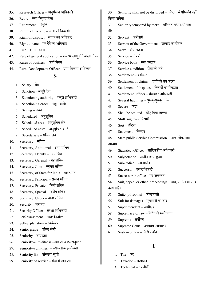- 35. Research Officer अनसुंिान अधिकारी
- 36. Retire सेवा-धनवर्तृत होना
- 37. Retirement निवृत्ति
- 38. Return of income आय की धववरणी
- 39. Right of disposal व्ययन का अधिकार
- $40.$  Right to vote मत देने का अधिकार
- 41. Rule शासन करना
- 42. Rule of general application सब पर लागूहोनेवाला धनयम
- 43. Rules of business कायि धनयम
- 44. Rural Development Officer ग्राम-धवकास अधिकारी

# **S**

- 1. Salary वेतन
- $2.$  Sanction मंजूरी देना
- 3. Sanctioning authority मंजूरी प्राधिकारी
- 4. Sanctioning order मंजूरी आदेश
- 5. Saving बचत
- 6. Scheduled अनसुधूचत
- 7. Scheduled area अनसुधूचत क्षत्रे
- 8. Scheduled caste अनुसूचित जाति
- 9. Secretariate सधचवालय
- 10. Secretary सचिव
- 11. Secretary, Additional अपर सधचव
- 12. Secretary, Deputy उप सधचव
- 13. Secretary, Gerenal महासधचव
- 14. Secretary, Joint संयुक्त सचिव
- 15. Secretary, of State for India भारत-मंत्री
- 16. Secretary, Principal प्रिान सधचव
- 17. Secretary, Private धनिी सधचव
- 18. Secretary, Special विशेष सचिव
- 19. Secretary, Under अवर सधचव
- $20.$  Security जमानत
- 21. Security Officer सरुक्षा अधिकारी
- 22. Self-assessment स्वत: निर्धारण
- 23. Self-explanatory स्वयंस्पष्ट
- 24. Senior grade वरिष्ठ श्रेणी
- 25. Seniority वरिष्ठता
- 26. Seniority-cum-fitness –ज्येष्ठता-सह-उपयुक्तता
- 27. Seniority-cum-merit ज्येष्ठता-सह-योग्यता
- 28. Seniority list वरिष्ठता सूची
- 29. Seniority of service सेवा में ज्येष्ठता
- $30.$  Seniority shall not be disturbed ज्येष्ठता में परिवर्तन नहीं किया जायेगा
- $31.$  Seniority tempered by merit वरिष्ठता प्रधान-योग्यता गौण
- 32. Servant कमिचारी
- 33. Servant of the Government सरकार का सेवक
- 34. Serve सेवा करना
- 35. Service नौकरी
- 36. Service book सेवा-पुस्तक
- 37. Service condition सेवा की शते
- 38. Settlement बंदोबस्त
- 39. Settlement of claims दावों को तय करना
- 40. Settlement of disputes धववािों का धनपटारा
- 41. Settlement Officer बंदोबस्त अधिकारी
- 42. Several liabilities पृथक्-पृथक् दायित्व
- 43. Severe कडा
- $44.$  Shall be omitted छोड़ दिया जाएगा
- $45.$  Shift, night रात्रि पारी
- 46. Sort छॉटना
- 47. Statement धववरण
- 48. State public Service Commission राज्य लोक सेवा आयोग
- 49. Statistical Officer सांधख्यकीय अधिकारी
- $50.$  Subjected to अधीन किया हुआ
- $51.$  Sub-Judice न्यायाधीन
- $52.$  Successor उत्तराधिकारी
- $53.$  Successor in office पद उत्तरवर्ती
- 54. Suit, appeal or other proceedings वाद, अपील या अन्य कायिवाधहयां
- 55. Suite (of rooms) कोष्ठावली
- $56.$  Suit for damages नुकसानी का वाद
- 57. Superintendent अधीक्षक
- $58.$  Supremacy of law विधि की सर्वोच्चता
- 59. Supreme सर्वोच्च
- $60.$  Supreme Court उच्चतम न्यायालय
- $61.$  System of law विधि पद्धति

# **T**

- 1. Tax कर
- 2. Taxation कराधान
- 3. Technical तकनीकी